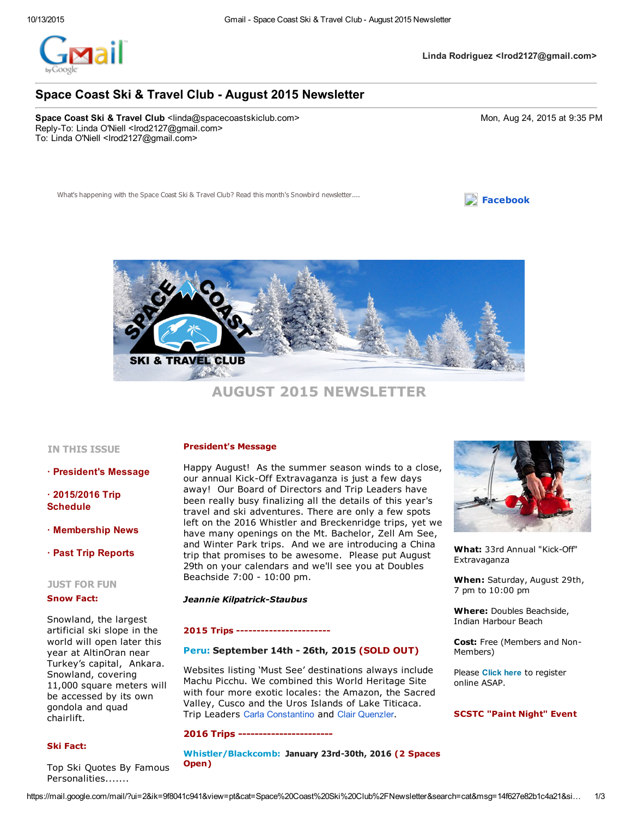

 $\Box$  [Facebook](http://www.spacecoastskiclub.com/EmailTracker/LinkTracker.ashx?linkAndRecipientCode=R3g0im2MnaHMkQceYTcIriZYbn50e39T58FbBtWqmFDFd%2f0UUoZWzceAgY2M3%2bEXUffL6APR2E5C9fOyFzYnwFjP04Xlsvjc9Z2S%2furAiO0%3d)

# Space Coast Ski & Travel Club - August 2015 Newsletter

Space Coast Ski & Travel Club <linda@spacecoastskiclub.com> 6. Monument Company of Monument Company of Monument Monument Monument Monument 2015 at 9:35 PM Reply-To: Linda O'Niell <lrod2127@gmail.com> To: Linda O'Niell <lrod2127@gmail.com>

What's happening with the Space Coast Ski & Travel Club? Read this month'



AUGUST 2015 NEWSLETTER

## IN THIS ISSUE

· President's Message

 $\cdot$  2015/2016 Trip Schedule

· Membership News

· Past Trip Reports

### JUST FOR FUN

#### Snow Fact:

Snowland, the largest artificial ski slope in the world will open later this year at AltinOran near Turkey's capital, Ankara. Snowland, covering 11,000 square meters will be accessed by its own gondola and quad chairlift.

### Ski Fact:

Top Ski Quotes By Famous Personalities.......

## President's Message

Happy August! As the summer season winds to a close, our annual Kick-Off Extravaganza is just a few days away! Our Board of Directors and Trip Leaders have been really busy finalizing all the details of this year's travel and ski adventures. There are only a few spots left on the 2016 Whistler and Breckenridge trips, yet we have many openings on the Mt. Bachelor, Zell Am See, and Winter Park trips. And we are introducing a China trip that promises to be awesome. Please put August 29th on your calendars and we'll see you at Doubles Beachside 7:00 - 10:00 pm.

#### **Jeannie Kilpatrick-Staubus**

#### 2015 Trips

## [Peru:](http://www.spacecoastskiclub.com/EmailTracker/LinkTracker.ashx?linkAndRecipientCode=UT4frH7nAM2gjhRo%2bLdt6cMJLqdTfJt0fnMhEWmNALckvRdxjfFdNCr1oJkYkpQgKSnh1V5rVcgTRhOWlBRfmrU7xdeXw8eKVcCh86Imvds%3d) September 14th - 26th, 2015 (SOLD OUT)

Websites listing 'Must See' destinations always include Machu Picchu. We combined this World Heritage Site with four more exotic locales: the Amazon, the Sacred Valley, Cusco and the Uros Islands of Lake Titicaca. Trip Leaders Carla Constantino and Clair Quenzler.

#### 2016 Trips

[Whistler/Blackcomb:](http://www.spacecoastskiclub.com/EmailTracker/LinkTracker.ashx?linkAndRecipientCode=Ueq1QfOdJXBBndDykGh%2brZ65YYzngC4u9GTCH%2fAj4Qg9AKdLGt0hcj0MWBVC6xvRXZFhdpYeTBDXGWbMHwfIwjD74f3zry1knmqBPRvRqTY%3d) January 23rd-30th, 2016 (2 Spaces Open)



What: 33rd Annual "Kick-Off" Extravaganza

When: Saturday, August 29th, 7 pm to 10:00 pm

Where: Doubles Beachside, Indian Harbour Beach

Cost: Free (Members and Non-Members)

Please Click here to register online ASAP.

## SCSTC "Paint Night" Event

https://mail.google.com/mail/?ui=2&ik=9f8041c941&view=pt&cat=Space%20Coast%20Ski%20Club%2FNewsletter&search=cat&msq=14f627e82b1c4a21&si... 1/3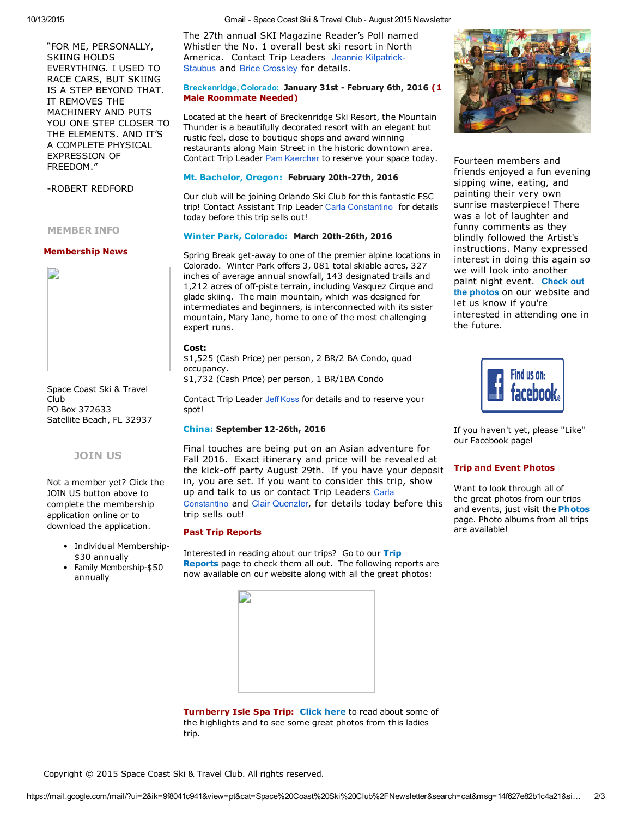"FOR ME, PERSONALLY, SKIING HOLDS EVERYTHING. I USED TO RACE CARS, BUT SKIING IS A STEP BEYOND THAT. IT REMOVES THE MACHINERY AND PUTS YOU ONE STEP CLOSER TO THE ELEMENTS. AND IT'S A COMPLETE PHYSICAL EXPRESSION OF FREEDOM."

ROBERT REDFORD

MEMBER INFO

#### Membership News



Space Coast Ski & Travel Club PO Box 372633 Satellite Beach, FL 32937

## [JOIN](http://www.spacecoastskiclub.com/EmailTracker/LinkTracker.ashx?linkAndRecipientCode=UeTcUgoE0WkPmNiCwc%2fbuPPD%2fix5xwU0fNvzKNg7eacPtAOeF9Xmw2Eva%2fAQaqK9k2O9UsHyHxUU8wDxb1RL4ZGgGCWHhiyo3ZsbsZJaG%2fc%3d) US

Not a member yet? Click the JOIN US button above to complete the membership application online or to download the application.

- Individual Membership-\$30 annually
- Family Membership-\$50 annually

10/13/2015 **10/13/2015 10/2016 6. Coxec Coast Ski & Travel Club - August 2015 Newsletter** 

The 27th annual SKI Magazine Reader's Poll named Whistler the No. 1 overall best ski resort in North [America.](mailto:Jeannie@SpaceCoastSkiClub.com) Contact Trip Leaders Jeannie Kilpatrick-Staubus and Brice Crossley for details.

## Breckenridge, Colorado: January 31st - February 6th, 2016 (1 Male Roommate Needed)

Located at the heart of Breckenridge Ski Resort, the Mountain Thunder is a beautifully decorated resort with an elegant but rustic feel, close to boutique shops and award winning restaurants along Main Street in the historic downtown area. Contact Trip Leader Pam Kaercher to reserve your space today.

## Mt. [Bachelor,](http://www.spacecoastskiclub.com/EmailTracker/LinkTracker.ashx?linkAndRecipientCode=lZMRzEJgm3ruSQuNh%2bdnjv196OdShHy47gw6VZNJEUY8ZhcmZbEMnQEJMtKUfiYQvaGrJkSAWJb6mf%2bjDCovAX0aOlkkoyW%2brVhWXUC8kXs%3d) Oregon: February 20th-27th, 2016

Our club will be joining Orlando Ski Club for this fantastic FSC trip! Contact Assistant Trip Leader Carla Constantino for details today before this trip sells out!

## Winter Park, [Colorado:](http://www.spacecoastskiclub.com/EmailTracker/LinkTracker.ashx?linkAndRecipientCode=3R%2fxQKZe%2b6bOtAIDSQ28V49yAlthHmCBxSStipDjhYEpTTnEQ3XF0DJQ%2bPPr%2fso92vkCHcj6iyL8CshZX6v80fqt5evRKvYEMYuhr2sucQs%3d) March 20th-26th, 2016

Spring Break get-away to one of the premier alpine locations in Colorado. Winter Park offers 3, 081 total skiable acres, 327 inches of average annual snowfall, 143 designated trails and 1,212 acres of off-piste terrain, including Vasquez Cirque and glade skiing. The main mountain, which was designed for intermediates and beginners, is interconnected with its sister mountain, Mary Jane, home to one of the most challenging expert runs.

### Cost:

\$1,525 (Cash Price) per person, 2 BR/2 BA Condo, quad occupancy.

\$1,732 (Cash Price) per person, 1 BR/1BA Condo

Contact Trip Leader Jeff Koss for details and to reserve your spot!

## [China:](http://www.spacecoastskiclub.com/EmailTracker/LinkTracker.ashx?linkAndRecipientCode=tG1u4nfrJ%2bE8pdQV%2fXBkHILng%2bpKSCcpRbUxuR%2fL0lZ9R78zA0NuUtE7WFRIeyz7oHU%2bZ7%2bM%2fYiRmCL5ZgZjrNlRjPMvYrbmxNt8aF1e1G8%3d) September 12-26th, 2016

Final touches are being put on an Asian adventure for Fall 2016. Exact itinerary and price will be revealed at the kick-off party August 29th. If you have your deposit in, you are set. If you want to consider this trip, show up and talk to us or contact Trip Leaders Carla Constantino and Clair Quenzler, for details today before this trip sells out!

## Past Trip Reports

[Interested](http://www.spacecoastskiclub.com/EmailTracker/LinkTracker.ashx?linkAndRecipientCode=McpQzpQ%2bQ2IiKHm%2bIm1Hxc6ynDuaX3FQ1BaFk5eb3V%2fSlLEPaM%2f1WW5BppzgrSmxsqOnnV1nd4u3YCGlIFUpmBLkdRuLojq%2fhhfxuhPff14%3d) in reading about our trips? Go to our Trip Reports page to check them all out. The following reports are now available on our website along with all the great photos:



Turnberry Isle Spa Trip: [Click](http://www.spacecoastskiclub.com/EmailTracker/LinkTracker.ashx?linkAndRecipientCode=E636txstdiSufyCZrZ7KDeHkR75teyBmcQRaa9La5QmNvwmIPm9o4wSdlMj25aGbaREBQm6MhGbtKMbTI8MYZYmB164Z2AmI%2fh3NKTBWqwA%3d) here to read about some of the highlights and to see some great photos from this ladies trip.



Fourteen members and friends enjoyed a fun evening sipping wine, eating, and painting their very own sunrise masterpiece! There was a lot of laughter and funny comments as they blindly followed the Artist's instructions. Many expressed interest in doing this again so we will look into another paint night event. Check out the photos on our [website](http://www.spacecoastskiclub.com/EmailTracker/LinkTracker.ashx?linkAndRecipientCode=xYU%2by9Jsp9YDPYXaTZEow1Tu7opekgUVwBtlakekFwXmhDXpAGouFY6Yxbcg8uFQJnRQWK%2f461Jbvn%2fG5JLzsQt45aTuPLwIHw%2bG%2bF6frc0%3d) and let us know if you're interested in attending one in the future.



If you haven't yet, please "Like" our Facebook page!

## Trip and Event Photos

Want to look through all of the great photos from our trips and events, just visit the **[Photos](http://www.spacecoastskiclub.com/EmailTracker/LinkTracker.ashx?linkAndRecipientCode=RL%2bRCbzsHndNtk6dPhvYQU1eDvUKbCUmnXNWlIwojKfoPZpSGoH3i%2fsTXXk7PlxDL%2brHlVUvmxMvERTCFY4CA%2bwnVibagYbcT23WU7Dyi08%3d)** page. Photo albums from all trips are available!